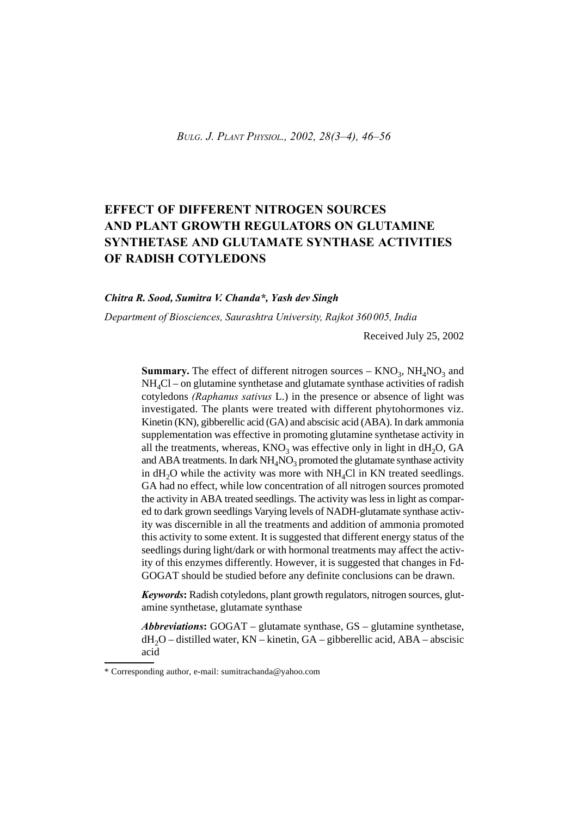# **EFFECT OF DIFFERENT NITROGEN SOURCES AND PLANT GROWTH REGULATORS ON GLUTAMINE SYNTHETASE AND GLUTAMATE SYNTHASE ACTIVITIES OF RADISH COTYLEDONS**

### *Chitra R. Sood, Sumitra V. Chanda\*, Yash dev Singh*

*Department of Biosciences, Saurashtra University, Rajkot 360005, India*

Received July 25, 2002

**Summary.** The effect of different nitrogen sources  $-$  KNO<sub>3</sub>, NH<sub>4</sub>NO<sub>3</sub> and  $NH<sub>4</sub>Cl$  – on glutamine synthetase and glutamate synthase activities of radish cotyledons *(Raphanus sativus* L.) in the presence or absence of light was investigated. The plants were treated with different phytohormones viz. Kinetin (KN), gibberellic acid (GA) and abscisic acid (ABA). In dark ammonia supplementation was effective in promoting glutamine synthetase activity in all the treatments, whereas,  $KNO_3$  was effective only in light in  $dH_2O$ , GA and ABA treatments. In dark  $NH_4NO_3$  promoted the glutamate synthase activity in  $dH_2O$  while the activity was more with NH<sub>4</sub>Cl in KN treated seedlings. GA had no effect, while low concentration of all nitrogen sources promoted the activity in ABA treated seedlings. The activity was less in light as compared to dark grown seedlings Varying levels of NADH-glutamate synthase activity was discernible in all the treatments and addition of ammonia promoted this activity to some extent. It is suggested that different energy status of the seedlings during light/dark or with hormonal treatments may affect the activity of this enzymes differently. However, it is suggested that changes in Fd-GOGAT should be studied before any definite conclusions can be drawn.

*Keywords***:** Radish cotyledons, plant growth regulators, nitrogen sources, glutamine synthetase, glutamate synthase

*Abbreviations***:** GOGAT – glutamate synthase, GS – glutamine synthetase,  $dH_2O$  – distilled water, KN – kinetin, GA – gibberellic acid, ABA – abscisic acid

<sup>\*</sup> Corresponding author, e-mail: sumitrachanda@yahoo.com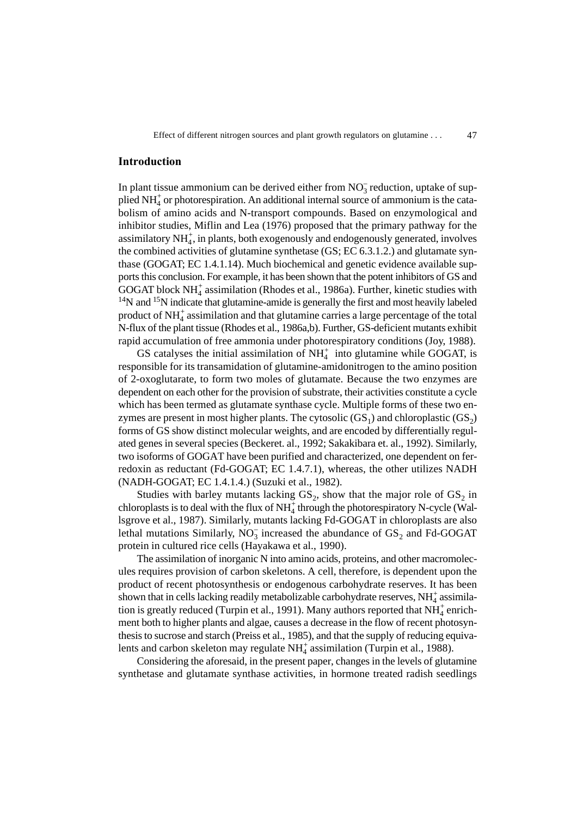#### **Introduction**

In plant tissue ammonium can be derived either from  $NO<sub>3</sub><sup>-</sup>$  reduction, uptake of supplied  $NH<sub>4</sub><sup>+</sup>$  or photorespiration. An additional internal source of ammonium is the catabolism of amino acids and N-transport compounds. Based on enzymological and inhibitor studies, Miflin and Lea (1976) proposed that the primary pathway for the assimilatory NH<sub>4</sub>, in plants, both exogenously and endogenously generated, involves the combined activities of glutamine synthetase (GS; EC 6.3.1.2.) and glutamate synthase (GOGAT; EC 1.4.1.14). Much biochemical and genetic evidence available supports this conclusion. For example, it has been shown that the potent inhibitors of GS and  $GOGAT$  block  $NH<sub>4</sub><sup>+</sup>$  assimilation (Rhodes et al., 1986a). Further, kinetic studies with  $14$ N and  $15$ N indicate that glutamine-amide is generally the first and most heavily labeled product of  $NH<sub>4</sub>$  assimilation and that glutamine carries a large percentage of the total N-flux of the plant tissue (Rhodes et al., 1986a,b). Further, GS-deficient mutants exhibit rapid accumulation of free ammonia under photorespiratory conditions (Joy, 1988).

GS catalyses the initial assimilation of  $NH<sub>4</sub><sup>+</sup>$  into glutamine while GOGAT, is responsible for its transamidation of glutamine-amidonitrogen to the amino position of 2-oxoglutarate, to form two moles of glutamate. Because the two enzymes are dependent on each other for the provision of substrate, their activities constitute a cycle which has been termed as glutamate synthase cycle. Multiple forms of these two enzymes are present in most higher plants. The cytosolic  $(GS_1)$  and chloroplastic  $(GS_2)$ forms of GS show distinct molecular weights, and are encoded by differentially regulated genes in several species (Beckeret. al., 1992; Sakakibara et. al., 1992). Similarly, two isoforms of GOGAT have been purified and characterized, one dependent on ferredoxin as reductant (Fd-GOGAT; EC 1.4.7.1), whereas, the other utilizes NADH (NADH-GOGAT; EC 1.4.1.4.) (Suzuki et al., 1982).

Studies with barley mutants lacking  $GS_2$ , show that the major role of  $GS_2$  in chloroplasts is to deal with the flux of  $NH<sub>4</sub><sup>+</sup>$  through the photorespiratory N-cycle (Wallsgrove et al., 1987). Similarly, mutants lacking Fd-GOGAT in chloroplasts are also lethal mutations Similarly,  $\overline{NO_3}$  increased the abundance of  $\overline{GS}_2$  and Fd-GOGAT protein in cultured rice cells (Hayakawa et al., 1990).

The assimilation of inorganic N into amino acids, proteins, and other macromolecules requires provision of carbon skeletons. A cell, therefore, is dependent upon the product of recent photosynthesis or endogenous carbohydrate reserves. It has been shown that in cells lacking readily metabolizable carbohydrate reserves,  $NH_4^+$  assimilation is greatly reduced (Turpin et al., 1991). Many authors reported that  $NH<sub>4</sub><sup>+</sup>$  enrichment both to higher plants and algae, causes a decrease in the flow of recent photosynthesis to sucrose and starch (Preiss et al., 1985), and that the supply of reducing equivalents and carbon skeleton may regulate  $NH<sub>4</sub>$  assimilation (Turpin et al., 1988).

Considering the aforesaid, in the present paper, changes in the levels of glutamine synthetase and glutamate synthase activities, in hormone treated radish seedlings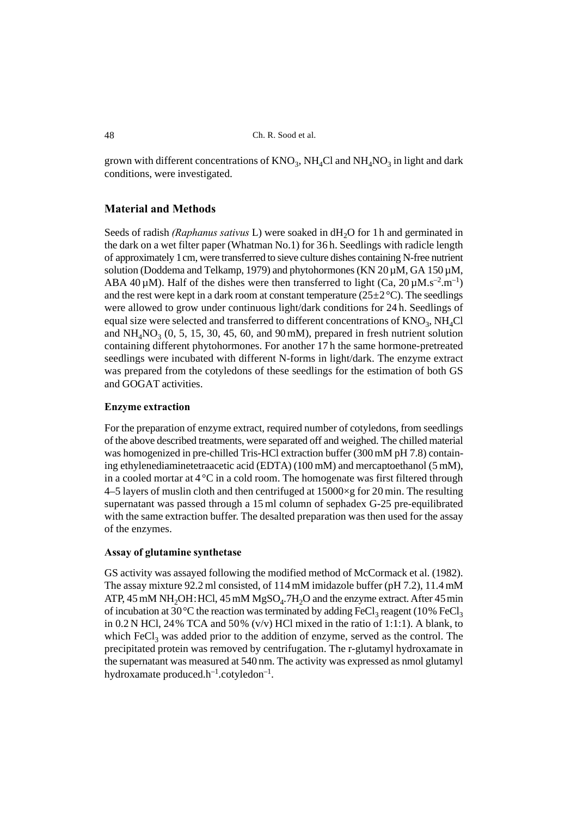grown with different concentrations of  $\rm{KNO}_{3}, \rm{NH}_{4}Cl$  and  $\rm{NH}_{4}NO_{3}$  in light and dark conditions, were investigated.

## **Material and Methods**

Seeds of radish *(Raphanus sativus L)* were soaked in dH<sub>2</sub>O for 1h and germinated in the dark on a wet filter paper (Whatman No.1) for 36 h. Seedlings with radicle length of approximately 1cm, were transferred to sieve culture dishes containing N-free nutrient solution (Doddema and Telkamp, 1979) and phytohormones (KN  $20 \mu M$ , GA 150  $\mu$ M, ABA 40  $\mu$ M). Half of the dishes were then transferred to light (Ca, 20  $\mu$ M.s<sup>-2</sup>.m<sup>-1</sup>) and the rest were kept in a dark room at constant temperature  $(25\pm2\degree C)$ . The seedlings were allowed to grow under continuous light/dark conditions for 24 h. Seedlings of equal size were selected and transferred to different concentrations of  $\mathrm{KNO}_3\mathrm{,NH}_4\mathrm{Cl}$ and  $NH<sub>4</sub>NO<sub>3</sub>$  (0, 5, 15, 30, 45, 60, and 90 mM), prepared in fresh nutrient solution containing different phytohormones. For another 17 h the same hormone-pretreated seedlings were incubated with different N-forms in light/dark. The enzyme extract was prepared from the cotyledons of these seedlings for the estimation of both GS and GOGAT activities.

#### **Enzyme extraction**

For the preparation of enzyme extract, required number of cotyledons, from seedlings of the above described treatments, were separated off and weighed. The chilled material was homogenized in pre-chilled Tris-HCl extraction buffer (300mM pH 7.8) containing ethylenediaminetetraacetic acid (EDTA) (100 mM) and mercaptoethanol (5mM), in a cooled mortar at  $4^{\circ}C$  in a cold room. The homogenate was first filtered through 4–5 layers of muslin cloth and then centrifuged at  $15000 \times g$  for 20 min. The resulting supernatant was passed through a 15 ml column of sephadex G-25 pre-equilibrated with the same extraction buffer. The desalted preparation was then used for the assay of the enzymes.

#### **Assay of glutamine synthetase**

GS activity was assayed following the modified method of McCormack et al. (1982). The assay mixture 92.2 ml consisted, of 114mM imidazole buffer (pH 7.2), 11.4 mM ATP, 45 mM NH<sub>2</sub>OH: HCl, 45 mM MgSO<sub>4</sub>.7H<sub>2</sub>O and the enzyme extract. After 45 min of incubation at 30 °C the reaction was terminated by adding  $\text{FeCl}_3$  reagent (10%  $\text{FeCl}_3$ ) in 0.2 N HCl, 24% TCA and 50%  $(v/v)$  HCl mixed in the ratio of 1:1:1). A blank, to which  $FeCl<sub>3</sub>$  was added prior to the addition of enzyme, served as the control. The precipitated protein was removed by centrifugation. The r-glutamyl hydroxamate in the supernatant was measured at 540 nm. The activity was expressed as nmol glutamyl hydroxamate produced.h<sup>-1</sup>.cotyledon<sup>-1</sup>.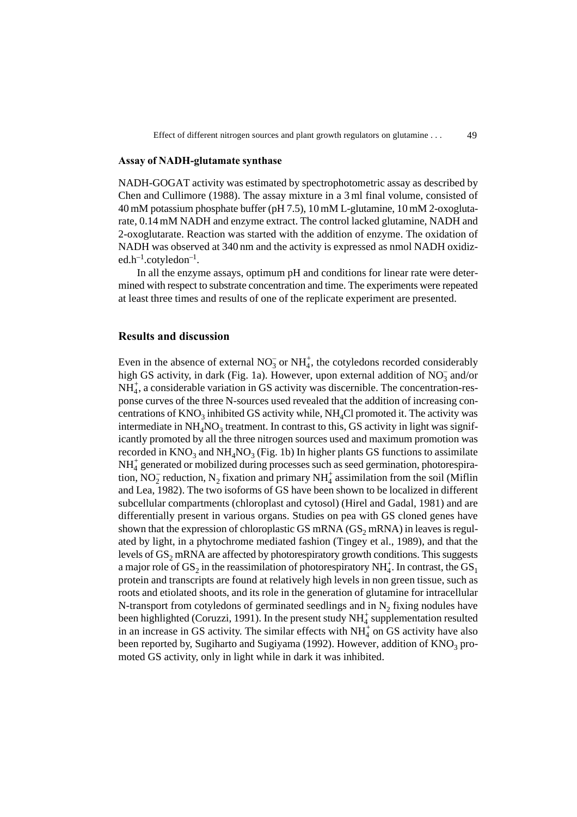#### **Assay of NADH-glutamate synthase**

NADH-GOGAT activity was estimated by spectrophotometric assay as described by Chen and Cullimore (1988). The assay mixture in a 3 ml final volume, consisted of 40mM potassium phosphate buffer (pH 7.5), 10mM L-glutamine, 10mM 2-oxoglutarate, 0.14mM NADH and enzyme extract. The control lacked glutamine, NADH and 2-oxoglutarate. Reaction was started with the addition of enzyme. The oxidation of NADH was observed at 340 nm and the activity is expressed as nmol NADH oxidiz $ed.h^{-1}.cotyledon^{-1}.$ 

In all the enzyme assays, optimum pH and conditions for linear rate were determined with respect to substrate concentration and time. The experiments were repeated at least three times and results of one of the replicate experiment are presented.

## **Results and discussion**

Even in the absence of external  $NO_3^-$  or  $NH_4^+$ , the cotyledons recorded considerably high GS activity, in dark (Fig. 1a). However, upon external addition of  $NO_3^-$  and/or  $NH<sub>4</sub><sup>+</sup>$ , a considerable variation in GS activity was discernible. The concentration-response curves of the three N-sources used revealed that the addition of increasing concentrations of  $\mathrm{KNO}_3$  inhibited GS activity while, NH<sub>4</sub>Cl promoted it. The activity was intermediate in  $NH_4NO_3$  treatment. In contrast to this, GS activity in light was significantly promoted by all the three nitrogen sources used and maximum promotion was recorded in  $\rm{KNO_3}$  and  $\rm{NH_4NO_3}$  (Fig. 1b) In higher plants GS functions to assimilate NH<sub>4</sub> generated or mobilized during processes such as seed germination, photorespiration, NO<sub>2</sub> reduction, N<sub>2</sub> fixation and primary NH<sub>4</sub><sup>+</sup> assimilation from the soil (Miflin and Lea, 1982). The two isoforms of GS have been shown to be localized in different subcellular compartments (chloroplast and cytosol) (Hirel and Gadal, 1981) and are differentially present in various organs. Studies on pea with GS cloned genes have shown that the expression of chloroplastic GS mRNA  $(GS_2$  mRNA) in leaves is regulated by light, in a phytochrome mediated fashion (Tingey et al., 1989), and that the levels of  $GS_2$  mRNA are affected by photorespiratory growth conditions. This suggests a major role of  $\mathrm{GS}_2$  in the reassimilation of photorespiratory NH $_4^+$ . In contrast, the  $\mathrm{GS}_1$ protein and transcripts are found at relatively high levels in non green tissue, such as roots and etiolated shoots, and its role in the generation of glutamine for intracellular N-transport from cotyledons of germinated seedlings and in  $N_2$  fixing nodules have been highlighted (Coruzzi, 1991). In the present study  $NH<sub>4</sub><sup>+</sup>$  supplementation resulted in an increase in GS activity. The similar effects with  $NH<sub>4</sub><sup>+</sup>$  on GS activity have also been reported by, Sugiharto and Sugiyama (1992). However, addition of  $\mathrm{KNO}_3$  promoted GS activity, only in light while in dark it was inhibited.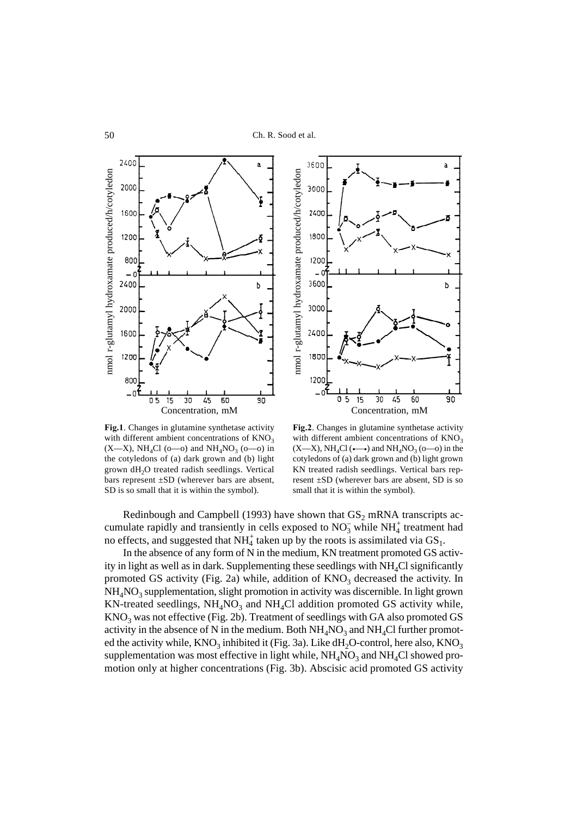

3600 a nmol r-glutamyl hydroxamate produced/h/cotyledon nmol r-glutamyl hydroxamate produced/h/cotyledon 3000 2400 1800 1200 3600 b 3000 2400 1800 1200 ി  $\overline{\mathfrak{o}}$  $\overline{90}$ 5 15 30 45 60 Concentration, mM

**Fig.1**. Changes in glutamine synthetase activity with different ambient concentrations of  $KNO<sub>3</sub>$  $(X-X)$ , NH<sub>4</sub>Cl (o—o) and NH<sub>4</sub>NO<sub>3</sub> (o—o) in the cotyledons of (a) dark grown and (b) light grown dH2O treated radish seedlings. Vertical bars represent ±SD (wherever bars are absent, SD is so small that it is within the symbol).

**Fig.2**. Changes in glutamine synthetase activity with different ambient concentrations of  $KNO<sub>3</sub>$  $(X-X)$ , NH<sub>4</sub>Cl ( $\leftarrow \rightarrow$ ) and NH<sub>4</sub>NO<sub>3</sub> ( $o$ — $o$ ) in the cotyledons of (a) dark grown and (b) light grown KN treated radish seedlings. Vertical bars represent ±SD (wherever bars are absent, SD is so small that it is within the symbol).

Redinbough and Campbell (1993) have shown that  $GS_2$  mRNA transcripts accumulate rapidly and transiently in cells exposed to  $NO_3^-$  while  $NH<sub>4</sub>$  treatment had no effects, and suggested that  $NH_4^+$  taken up by the roots is assimilated via  $GS_1$ .

In the absence of any form of N in the medium, KN treatment promoted GS activity in light as well as in dark. Supplementing these seedlings with  $NH<sub>4</sub>Cl$  significantly promoted GS activity (Fig. 2a) while, addition of  $KNO<sub>3</sub>$  decreased the activity. In  $NH_4NO_3$  supplementation, slight promotion in activity was discernible. In light grown KN-treated seedlings,  $NH_4NO_3$  and  $NH_4Cl$  addition promoted GS activity while,  $\rm{KNO_3}$  was not effective (Fig. 2b). Treatment of seedlings with GA also promoted GS activity in the absence of N in the medium. Both  $NH_4NO_3$  and  $NH_4Cl$  further promoted the activity while,  $\rm{KNO_3}$  inhibited it (Fig. 3a). Like dH<sub>2</sub>O-control, here also,  $\rm{KNO_3}$ supplementation was most effective in light while,  $NH_4NO_3$  and  $NH_4Cl$  showed promotion only at higher concentrations (Fig. 3b). Abscisic acid promoted GS activity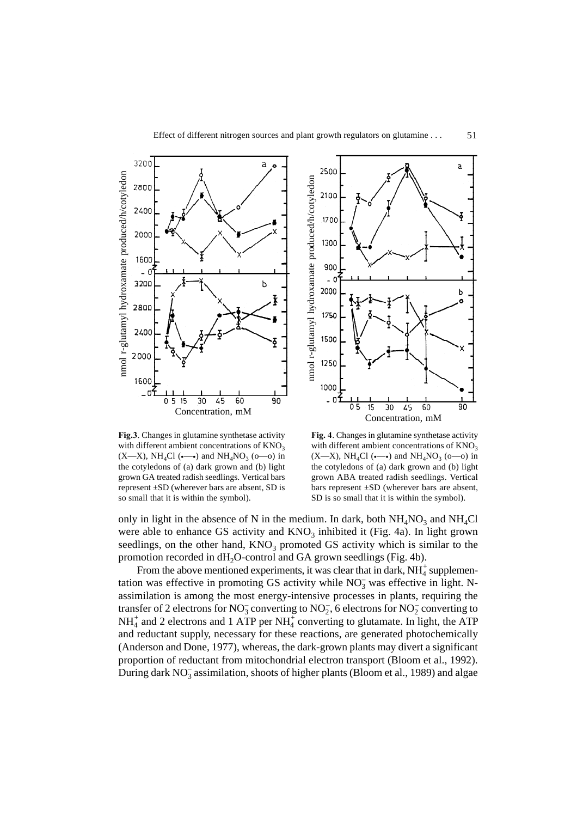

**Fig.3**. Changes in glutamine synthetase activity with different ambient concentrations of  $KNO<sub>3</sub>$  $(X-X)$ , NH<sub>4</sub>Cl ( $\leftarrow \rightarrow$ ) and NH<sub>4</sub>NO<sub>3</sub> ( $o$ — $o$ ) in the cotyledons of (a) dark grown and (b) light grown GA treated radish seedlings. Vertical bars represent ±SD (wherever bars are absent, SD is so small that it is within the symbol).



**Fig. 4**. Changes in glutamine synthetase activity with different ambient concentrations of  $KNO<sub>3</sub>$  $(X-X)$ , NH<sub>4</sub>Cl ( $\longleftrightarrow$ ) and NH<sub>4</sub>NO<sub>3</sub> ( $o$ — $o$ ) in the cotyledons of (a) dark grown and (b) light grown ABA treated radish seedlings. Vertical bars represent  $\pm SD$  (wherever bars are absent, SD is so small that it is within the symbol).

only in light in the absence of N in the medium. In dark, both  $NH_4NO_3$  and  $NH_4Cl$ were able to enhance GS activity and  $KNO<sub>3</sub>$  inhibited it (Fig. 4a). In light grown seedlings, on the other hand,  $KNO<sub>3</sub>$  promoted GS activity which is similar to the promotion recorded in  $dH_2O$ -control and GA grown seedlings (Fig. 4b).

From the above mentioned experiments, it was clear that in dark,  $NH<sub>4</sub><sup>+</sup>$  supplementation was effective in promoting GS activity while  $NO<sub>3</sub><sup>-</sup>$  was effective in light. Nassimilation is among the most energy-intensive processes in plants, requiring the transfer of 2 electrons for  $\rm NO_3^-$  converting to  $\rm NO_2^-$ , 6 electrons for  $\rm NO_2^-$  converting to  $NH_4^+$  and 2 electrons and 1 ATP per  $NH_4^+$  converting to glutamate. In light, the ATP and reductant supply, necessary for these reactions, are generated photochemically (Anderson and Done, 1977), whereas, the dark-grown plants may divert a significant proportion of reductant from mitochondrial electron transport (Bloom et al., 1992). During dark  $NO_3^-$  assimilation, shoots of higher plants (Bloom et al., 1989) and algae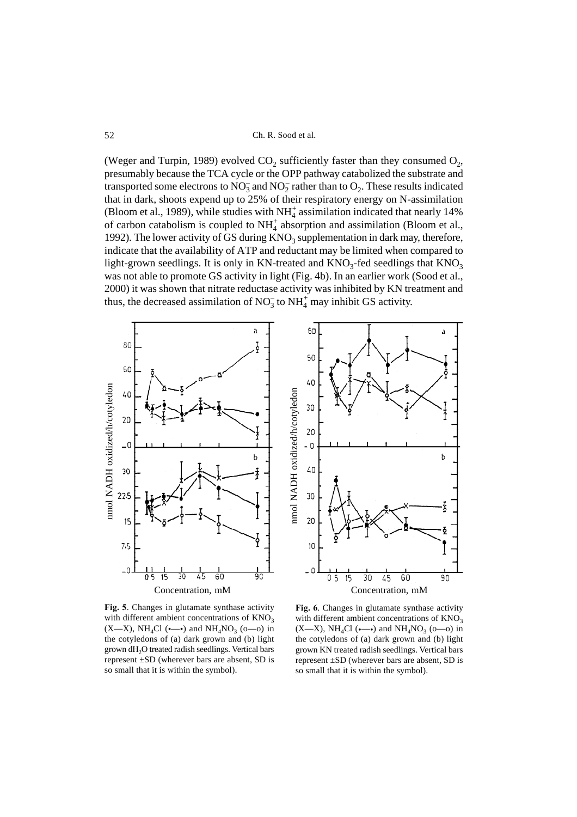Ch. R. Sood et al.

(Weger and Turpin, 1989) evolved  $CO_2$  sufficiently faster than they consumed  $O_2$ , presumably because the TCA cycle or the OPP pathway catabolized the substrate and transported some electrons to  $NO_3^-$  and  $NO_2^-$  rather than to  $O_2$ . These results indicated that in dark, shoots expend up to 25% of their respiratory energy on N-assimilation (Bloom et al., 1989), while studies with  $NH<sub>4</sub><sup>+</sup>$  assimilation indicated that nearly 14% of carbon catabolism is coupled to  $NH<sub>4</sub><sup>+</sup>$  absorption and assimilation (Bloom et al., 1992). The lower activity of GS during  $KNO<sub>3</sub>$  supplementation in dark may, therefore, indicate that the availability of ATP and reductant may be limited when compared to light-grown seedlings. It is only in KN-treated and  $KNO_3$ -fed seedlings that  $KNO_3$ was not able to promote GS activity in light (Fig. 4b). In an earlier work (Sood et al., 2000) it was shown that nitrate reductase activity was inhibited by KN treatment and thus, the decreased assimilation of  $NO_3^-$  to  $NH_4^+$  may inhibit GS activity.



**Fig. 5**. Changes in glutamate synthase activity with different ambient concentrations of  $KNO<sub>3</sub>$  $(X-X)$ , NH<sub>4</sub>Cl (•—•) and NH<sub>4</sub>NO<sub>3</sub> (o—o) in the cotyledons of (a) dark grown and (b) light grown dH<sub>2</sub>O treated radish seedlings. Vertical bars represent ±SD (wherever bars are absent, SD is so small that it is within the symbol).

**Fig. 6**. Changes in glutamate synthase activity with different ambient concentrations of  $KNO<sub>3</sub>$  $(X-X)$ , NH<sub>4</sub>Cl ( $\leftarrow \rightarrow$ ) and NH<sub>4</sub>NO<sub>3</sub> ( $o$ — $o$ ) in the cotyledons of (a) dark grown and (b) light grown KN treated radish seedlings. Vertical bars represent ±SD (wherever bars are absent, SD is so small that it is within the symbol).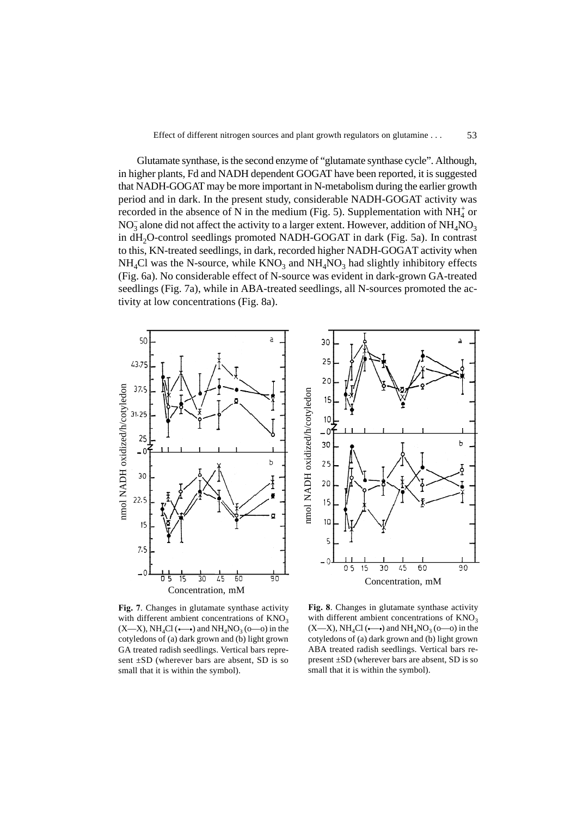Glutamate synthase, is the second enzyme of "glutamate synthase cycle". Although, in higher plants, Fd and NADH dependent GOGAT have been reported, it is suggested that NADH-GOGAT may be more important in N-metabolism during the earlier growth period and in dark. In the present study, considerable NADH-GOGAT activity was recorded in the absence of N in the medium (Fig. 5). Supplementation with  $NH_4^+$  or  $NO<sub>3</sub><sup>-</sup>$  alone did not affect the activity to a larger extent. However, addition of  $NH<sub>4</sub>NO<sub>3</sub>$ in dH2O-control seedlings promoted NADH-GOGAT in dark (Fig. 5a). In contrast to this, KN-treated seedlings, in dark, recorded higher NADH-GOGAT activity when  $NH<sub>4</sub>Cl$  was the N-source, while  $KNO<sub>3</sub>$  and  $NH<sub>4</sub>NO<sub>3</sub>$  had slightly inhibitory effects (Fig. 6a). No considerable effect of N-source was evident in dark-grown GA-treated seedlings (Fig. 7a), while in ABA-treated seedlings, all N-sources promoted the activity at low concentrations (Fig. 8a).



**Fig. 7**. Changes in glutamate synthase activity with different ambient concentrations of  $KNO<sub>3</sub>$  $(X-X)$ , NH<sub>4</sub>Cl ( $\leftarrow \rightarrow$ ) and NH<sub>4</sub>NO<sub>3</sub> ( $o$ — $o$ ) in the cotyledons of (a) dark grown and (b) light grown GA treated radish seedlings. Vertical bars represent ±SD (wherever bars are absent, SD is so small that it is within the symbol).



**Fig. 8**. Changes in glutamate synthase activity with different ambient concentrations of  $KNO<sub>3</sub>$  $(X-X)$ , NH<sub>4</sub>Cl ( $\leftarrow \rightarrow$ ) and NH<sub>4</sub>NO<sub>3</sub> ( $o$ — $o$ ) in the cotyledons of (a) dark grown and (b) light grown ABA treated radish seedlings. Vertical bars represent ±SD (wherever bars are absent, SD is so small that it is within the symbol).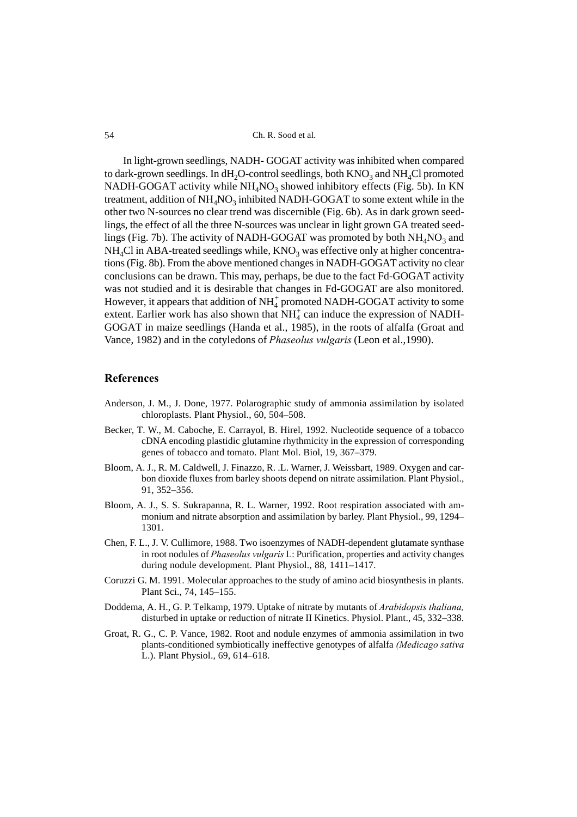Ch. R. Sood et al.

In light-grown seedlings, NADH- GOGAT activity was inhibited when compared to dark-grown seedlings. In dH<sub>2</sub>O-control seedlings, both  $\rm{KNO_3}$  and  $\rm{NH_4Cl}$  promoted NADH-GOGAT activity while  $NH_4NO_3$  showed inhibitory effects (Fig. 5b). In KN treatment, addition of  $\mathrm{NH}_4\mathrm{NO}_3$  inhibited NADH-GOGAT to some extent while in the other two N-sources no clear trend was discernible (Fig. 6b). As in dark grown seedlings, the effect of all the three N-sources was unclear in light grown GA treated seedlings (Fig. 7b). The activity of NADH-GOGAT was promoted by both  $NH_4\rm{NO_3}$  and  $NH<sub>4</sub>Cl$  in ABA-treated seedlings while,  $KNO<sub>3</sub>$  was effective only at higher concentrations (Fig. 8b). From the above mentioned changes in NADH-GOGAT activity no clear conclusions can be drawn. This may, perhaps, be due to the fact Fd-GOGAT activity was not studied and it is desirable that changes in Fd-GOGAT are also monitored. However, it appears that addition of  $\mathrm{NH}_4^+$  promoted NADH-GOGAT activity to some extent. Earlier work has also shown that  $NH<sub>4</sub><sup>+</sup>$  can induce the expression of NADH-GOGAT in maize seedlings (Handa et al., 1985), in the roots of alfalfa (Groat and Vance, 1982) and in the cotyledons of *Phaseolus vulgaris* (Leon et al.,1990).

## **References**

- Anderson, J. M., J. Done, 1977. Polarographic study of ammonia assimilation by isolated chloroplasts. Plant Physiol., 60, 504–508.
- Becker, T. W., M. Caboche, E. Carrayol, B. Hirel, 1992. Nucleotide sequence of a tobacco cDNA encoding plastidic glutamine rhythmicity in the expression of corresponding genes of tobacco and tomato. Plant Mol. Biol, 19, 367–379.
- Bloom, A. J., R. M. Caldwell, J. Finazzo, R. .L. Warner, J. Weissbart, 1989. Oxygen and carbon dioxide fluxes from barley shoots depend on nitrate assimilation. Plant Physiol., 91, 352–356.
- Bloom, A. J., S. S. Sukrapanna, R. L. Warner, 1992. Root respiration associated with ammonium and nitrate absorption and assimilation by barley. Plant Physiol., 99, 1294– 1301.
- Chen, F. L., J. V. Cullimore, 1988. Two isoenzymes of NADH-dependent glutamate synthase in root nodules of *Phaseolus vulgaris* L: Purification, properties and activity changes during nodule development. Plant Physiol., 88, 1411–1417.
- Coruzzi G. M. 1991. Molecular approaches to the study of amino acid biosynthesis in plants. Plant Sci., 74, 145–155.
- Doddema, A. H., G. P. Telkamp, 1979. Uptake of nitrate by mutants of *Arabidopsis thaliana,* disturbed in uptake or reduction of nitrate II Kinetics. Physiol. Plant., 45, 332–338.
- Groat, R. G., C. P. Vance, 1982. Root and nodule enzymes of ammonia assimilation in two plants-conditioned symbiotically ineffective genotypes of alfalfa *(Medicago sativa* L.). Plant Physiol., 69, 614–618.

54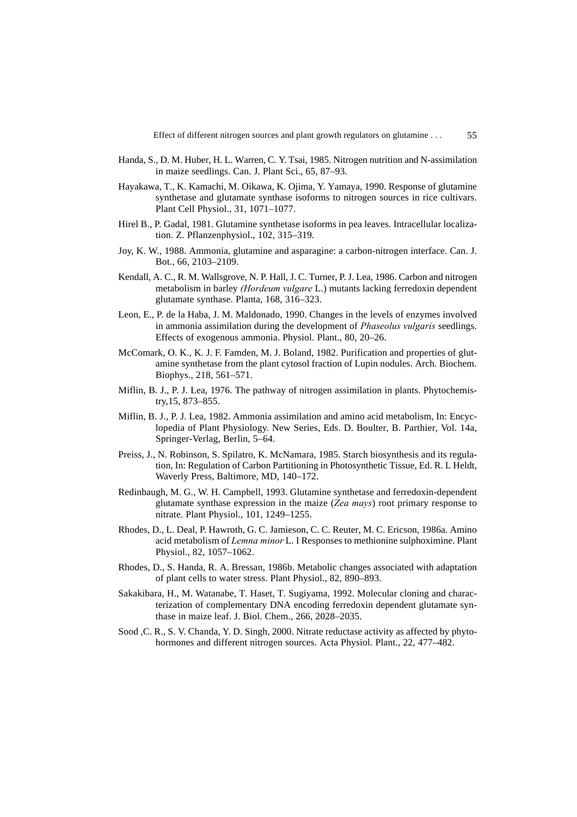55

- Handa, S., D. M. Huber, H. L. Warren, C. Y. Tsai, 1985. Nitrogen nutrition and N-assimilation in maize seedlings. Can. J. Plant Sci., 65, 87–93.
- Hayakawa, T., K. Kamachi, M. Oikawa, K. Ojima, Y. Yamaya, 1990. Response of glutamine synthetase and glutamate synthase isoforms to nitrogen sources in rice cultivars. Plant Cell Physiol., 31, 1071–1077.
- Hirel B., P. Gadal, 1981. Glutamine synthetase isoforms in pea leaves. Intracellular localization. Z. Pflanzenphysiol., 102, 315–319.
- Joy, K. W., 1988. Ammonia, glutamine and asparagine: a carbon-nitrogen interface. Can. J. Bot., 66, 2103–2109.
- Kendall, A. C., R. M. Wallsgrove, N. P. Hall, J. C. Turner, P. J. Lea, 1986. Carbon and nitrogen metabolism in barley *(Hordeum vulgare* L.) mutants lacking ferredoxin dependent glutamate synthase. Planta, 168, 316–323.
- Leon, E., P. de la Haba, J. M. Maldonado, 1990. Changes in the levels of enzymes involved in ammonia assimilation during the development of *Phaseolus vulgaris* seedlings. Effects of exogenous ammonia. Physiol. Plant., 80, 20–26.
- McComark, O. K., K. J. F. Famden, M. J. Boland, 1982. Purification and properties of glutamine synthetase from the plant cytosol fraction of Lupin nodules. Arch. Biochem. Biophys., 218, 561–571.
- Miflin, B. J., P. J. Lea, 1976. The pathway of nitrogen assimilation in plants. Phytochemistry,15, 873–855.
- Miflin, B. J., P. J. Lea, 1982. Ammonia assimilation and amino acid metabolism, In: Encyclopedia of Plant Physiology. New Series, Eds. D. Boulter, B. Parthier, Vol. 14a, Springer-Verlag, Berlin, 5–64.
- Preiss, J., N. Robinson, S. Spilatro, K. McNamara, 1985. Starch biosynthesis and its regulation, In: Regulation of Carbon Partitioning in Photosynthetic Tissue, Ed. R. L Heldt, Waverly Press, Baltimore, MD, 140–172.
- Redinbaugh, M. G., W. H. Campbell, 1993. Glutamine synthetase and ferredoxin-dependent glutamate synthase expression in the maize (*Zea mays*) root primary response to nitrate. Plant Physiol., 101, 1249–1255.
- Rhodes, D., L. Deal, P. Hawroth, G. C. Jamieson, C. C. Reuter, M. C. Ericson, 1986a. Amino acid metabolism of *Lemna minor* L. I Responses to methionine sulphoximine. Plant Physiol., 82, 1057–1062.
- Rhodes, D., S. Handa, R. A. Bressan, 1986b. Metabolic changes associated with adaptation of plant cells to water stress. Plant Physiol., 82, 890–893.
- Sakakibara, H., M. Watanabe, T. Haset, T. Sugiyama, 1992. Molecular cloning and characterization of complementary DNA encoding ferredoxin dependent glutamate synthase in maize leaf. J. Biol. Chem., 266, 2028–2035.
- Sood , C. R., S. V. Chanda, Y. D. Singh, 2000. Nitrate reductase activity as affected by phytohormones and different nitrogen sources. Acta Physiol. Plant., 22, 477–482.